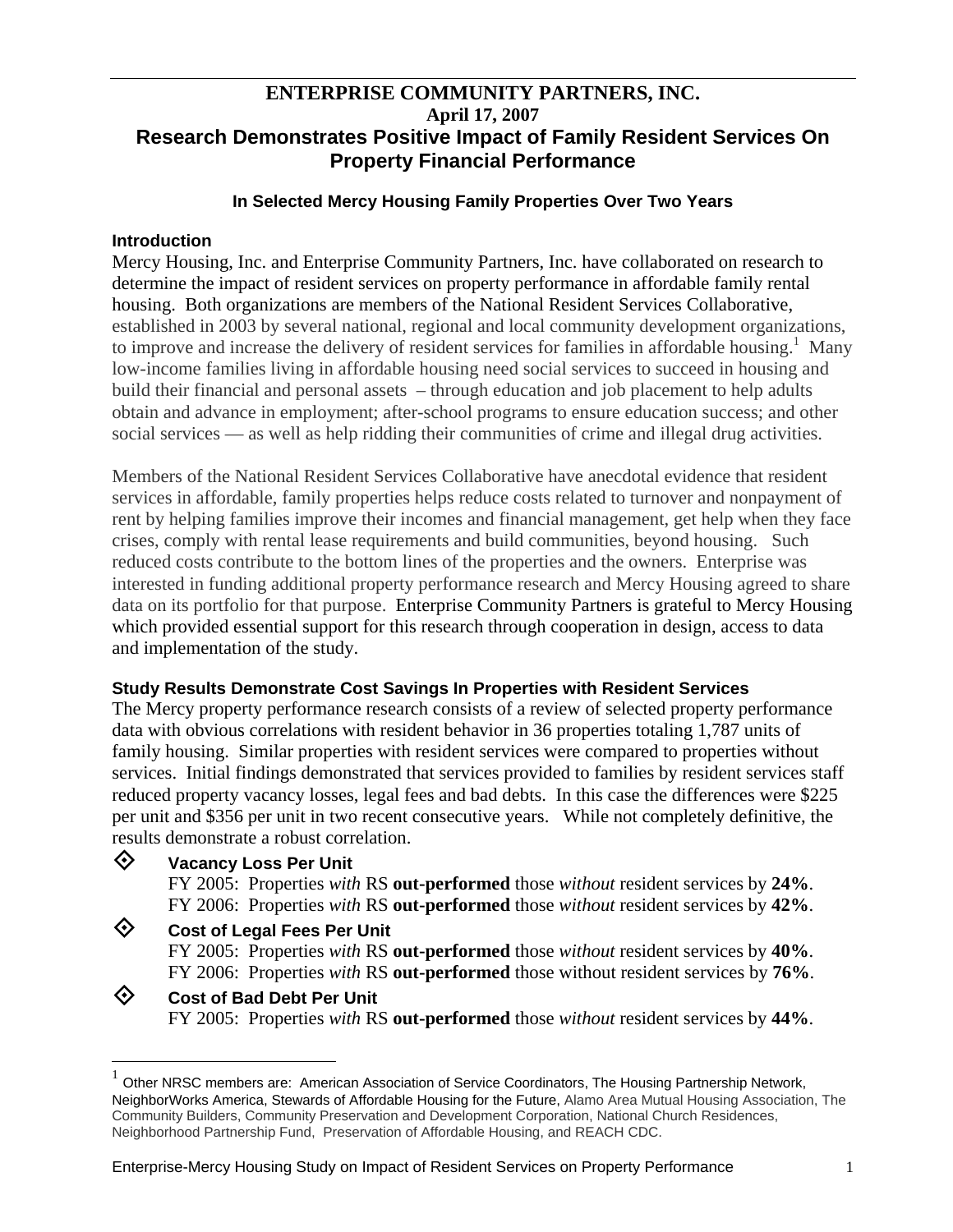# **ENTERPRISE COMMUNITY PARTNERS, INC. April 17, 2007 Research Demonstrates Positive Impact of Family Resident Services On Property Financial Performance**

#### **In Selected Mercy Housing Family Properties Over Two Years**

#### **Introduction**

Mercy Housing, Inc. and Enterprise Community Partners, Inc. have collaborated on research to determine the impact of resident services on property performance in affordable family rental housing. Both organizations are members of the National Resident Services Collaborative, established in 2003 by several national, regional and local community development organizations, to improve and increase the delivery of resident services for families in affordable housing.<sup>[1](#page-0-0)</sup> Many low-income families living in affordable housing need social services to succeed in housing and build their financial and personal assets – through education and job placement to help adults obtain and advance in employment; after-school programs to ensure education success; and other social services — as well as help ridding their communities of crime and illegal drug activities.

Members of the National Resident Services Collaborative have anecdotal evidence that resident services in affordable, family properties helps reduce costs related to turnover and nonpayment of rent by helping families improve their incomes and financial management, get help when they face crises, comply with rental lease requirements and build communities, beyond housing. Such reduced costs contribute to the bottom lines of the properties and the owners. Enterprise was interested in funding additional property performance research and Mercy Housing agreed to share data on its portfolio for that purpose. Enterprise Community Partners is grateful to Mercy Housing which provided essential support for this research through cooperation in design, access to data and implementation of the study.

### **Study Results Demonstrate Cost Savings In Properties with Resident Services**

The Mercy property performance research consists of a review of selected property performance data with obvious correlations with resident behavior in 36 properties totaling 1,787 units of family housing. Similar properties with resident services were compared to properties without services. Initial findings demonstrated that services provided to families by resident services staff reduced property vacancy losses, legal fees and bad debts. In this case the differences were \$225 per unit and \$356 per unit in two recent consecutive years. While not completely definitive, the results demonstrate a robust correlation.



 $\overline{a}$ 

## **Vacancy Loss Per Unit**

FY 2005: Properties *with* RS **out-performed** those *without* resident services by **24%**. FY 2006: Properties *with* RS **out-performed** those *without* resident services by **42%**.

### **Cost of Legal Fees Per Unit**

FY 2005: Properties *with* RS **out-performed** those *without* resident services by **40%**. FY 2006: Properties *with* RS **out-performed** those without resident services by **76%**.

### **Cost of Bad Debt Per Unit** FY 2005: Properties *with* RS **out-performed** those *without* resident services by **44%**.

<span id="page-0-0"></span> $1$  Other NRSC members are: American Association of Service Coordinators, The Housing Partnership Network, NeighborWorks America, Stewards of Affordable Housing for the Future, Alamo Area Mutual Housing Association, The Community Builders, Community Preservation and Development Corporation, National Church Residences, Neighborhood Partnership Fund, Preservation of Affordable Housing, and REACH CDC.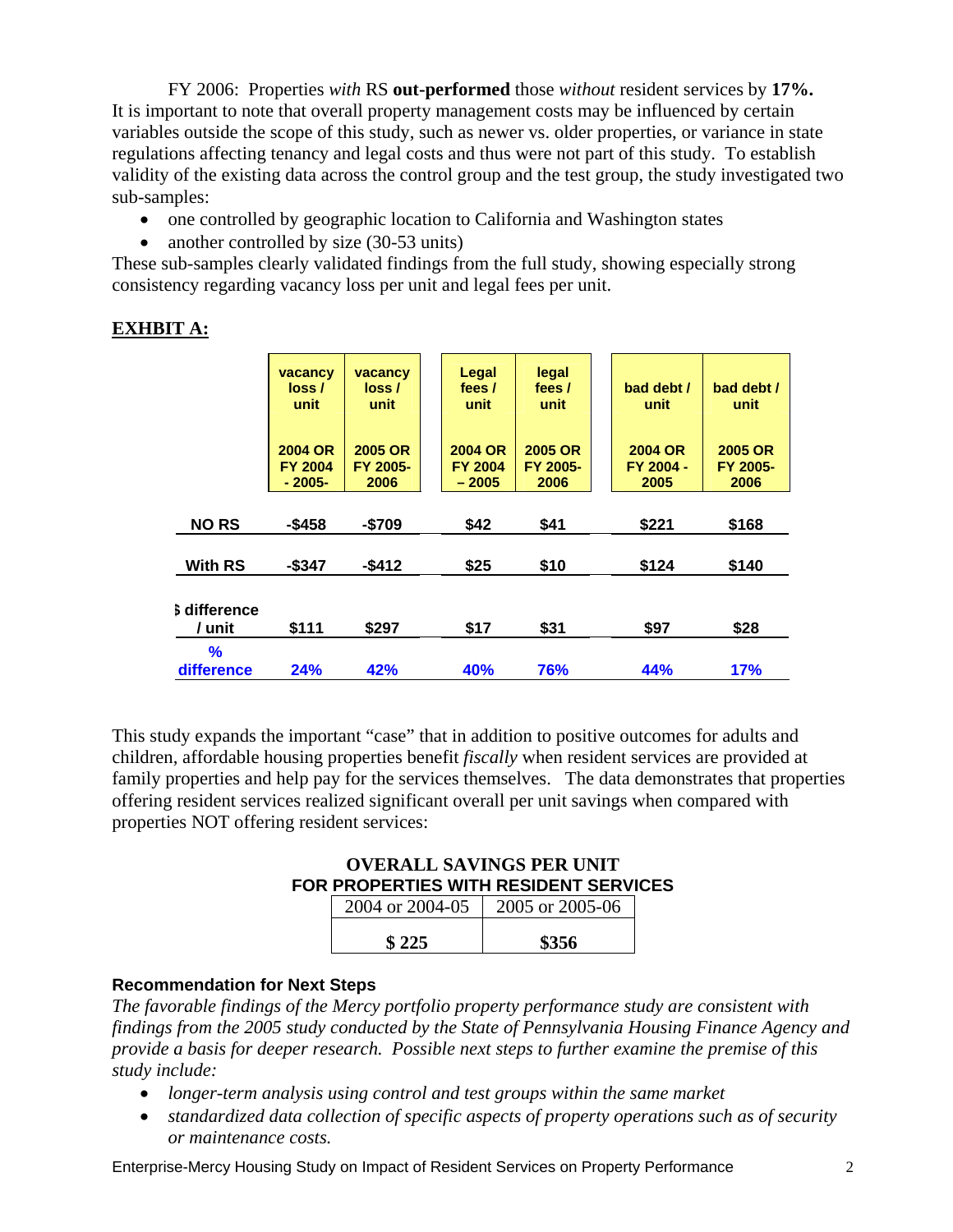FY 2006: Properties *with* RS **out-performed** those *without* resident services by **17%.** It is important to note that overall property management costs may be influenced by certain variables outside the scope of this study, such as newer vs. older properties, or variance in state regulations affecting tenancy and legal costs and thus were not part of this study. To establish validity of the existing data across the control group and the test group, the study investigated two sub-samples:

- one controlled by geographic location to California and Washington states
- another controlled by size (30-53 units)

These sub-samples clearly validated findings from the full study, showing especially strong consistency regarding vacancy loss per unit and legal fees per unit.

# **EXHBIT A:**

|                               | vacancy<br>loss /<br>unit<br><b>2004 OR</b><br><b>FY 2004</b> | vacancy<br>loss/<br>unit<br>2005 OR<br>FY 2005- | Legal<br>fees /<br>unit<br><b>2004 OR</b><br><b>FY 2004</b> | legal<br>fees /<br>unit<br>2005 OR<br>FY 2005- | bad debt /<br>unit<br><b>2004 OR</b><br>FY 2004 - | bad debt /<br>unit<br><b>2005 OR</b><br>FY 2005- |
|-------------------------------|---------------------------------------------------------------|-------------------------------------------------|-------------------------------------------------------------|------------------------------------------------|---------------------------------------------------|--------------------------------------------------|
|                               | $-2005-$                                                      | 2006                                            | $-2005$                                                     | 2006                                           | 2005                                              | 2006                                             |
| <b>NORS</b>                   | $-$ \$458                                                     | $-$709$                                         | \$42                                                        | \$41                                           | \$221                                             | \$168                                            |
| <b>With RS</b>                | $-$ \$347                                                     | $-$ \$412                                       | \$25                                                        | \$10                                           | \$124                                             | \$140                                            |
| <b>S</b> difference<br>/ unit | \$111                                                         | \$297                                           | \$17                                                        | \$31                                           | \$97                                              | \$28                                             |
| %<br>difference               | 24%                                                           | 42%                                             | 40%                                                         | 76%                                            | 44%                                               | <b>17%</b>                                       |

This study expands the important "case" that in addition to positive outcomes for adults and children, affordable housing properties benefit *fiscally* when resident services are provided at family properties and help pay for the services themselves. The data demonstrates that properties offering resident services realized significant overall per unit savings when compared with properties NOT offering resident services:

**OVERALL SAVINGS PER UNIT FOR PROPERTIES WITH RESIDENT SERVICES** 

| 2004 or 2004-05 | 2005 or 2005-06 |
|-----------------|-----------------|
| \$225           | \$356           |

### **Recommendation for Next Steps**

*The favorable findings of the Mercy portfolio property performance study are consistent with findings from the 2005 study conducted by the State of Pennsylvania Housing Finance Agency and provide a basis for deeper research. Possible next steps to further examine the premise of this study include:* 

- *longer-term analysis using control and test groups within the same market*
- *standardized data collection of specific aspects of property operations such as of security or maintenance costs.*

Enterprise-Mercy Housing Study on Impact of Resident Services on Property Performance 2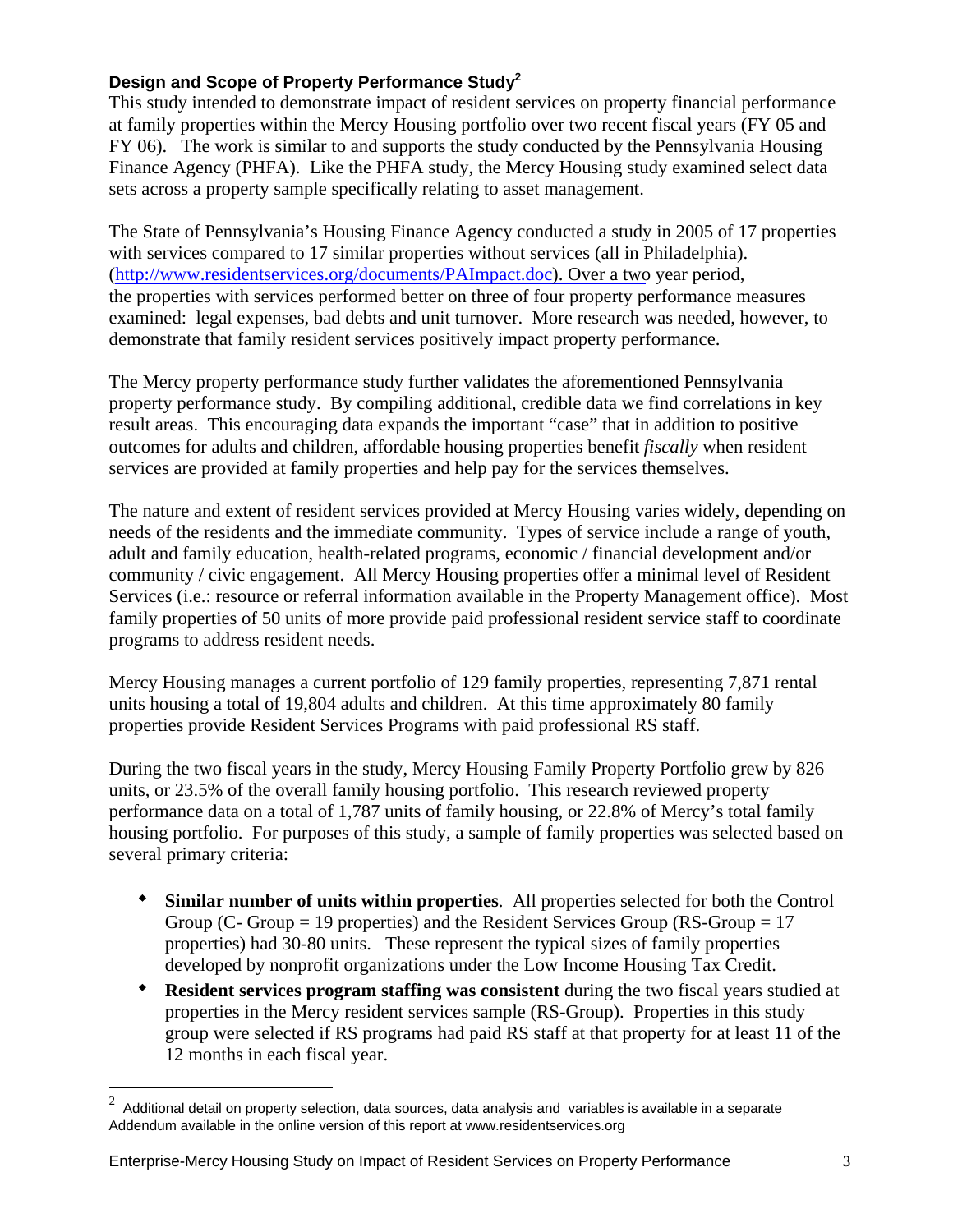## **Design and Scope of Property Performance Study[2](#page-2-0)**

This study intended to demonstrate impact of resident services on property financial performance at family properties within the Mercy Housing portfolio over two recent fiscal years (FY 05 and FY 06). The work is similar to and supports the study conducted by the Pennsylvania Housing Finance Agency (PHFA). Like the PHFA study, the Mercy Housing study examined select data sets across a property sample specifically relating to asset management.

The State of Pennsylvania's Housing Finance Agency conducted a study in 2005 of 17 properties with services compared to 17 similar properties without services (all in Philadelphia). (http://www.residentservices.org/documents/PAImpact.doc). Over a two year period, the properties with services performed better on three of four property performance measures examined: legal expenses, bad debts and unit turnover. More research was needed, however, to demonstrate that family resident services positively impact property performance.

The Mercy property performance study further validates the aforementioned Pennsylvania property performance study. By compiling additional, credible data we find correlations in key result areas. This encouraging data expands the important "case" that in addition to positive outcomes for adults and children, affordable housing properties benefit *fiscally* when resident services are provided at family properties and help pay for the services themselves.

The nature and extent of resident services provided at Mercy Housing varies widely, depending on needs of the residents and the immediate community. Types of service include a range of youth, adult and family education, health-related programs, economic / financial development and/or community / civic engagement. All Mercy Housing properties offer a minimal level of Resident Services (i.e.: resource or referral information available in the Property Management office). Most family properties of 50 units of more provide paid professional resident service staff to coordinate programs to address resident needs.

Mercy Housing manages a current portfolio of 129 family properties, representing 7,871 rental units housing a total of 19,804 adults and children. At this time approximately 80 family properties provide Resident Services Programs with paid professional RS staff.

During the two fiscal years in the study, Mercy Housing Family Property Portfolio grew by 826 units, or 23.5% of the overall family housing portfolio. This research reviewed property performance data on a total of 1,787 units of family housing, or 22.8% of Mercy's total family housing portfolio. For purposes of this study, a sample of family properties was selected based on several primary criteria:

- **Similar number of units within properties**. All properties selected for both the Control Group (C- Group = 19 properties) and the Resident Services Group (RS-Group = 17 properties) had 30-80 units. These represent the typical sizes of family properties developed by nonprofit organizations under the Low Income Housing Tax Credit.
- **Resident services program staffing was consistent** during the two fiscal years studied at properties in the Mercy resident services sample (RS-Group). Properties in this study group were selected if RS programs had paid RS staff at that property for at least 11 of the 12 months in each fiscal year.

#### Enterprise-Mercy Housing Study on Impact of Resident Services on Property Performance 3

1

<span id="page-2-0"></span> $2\overline{2}$  Additional detail on property selection, data sources, data analysis and variables is available in a separate Addendum available in the online version of this report at www.residentservices.org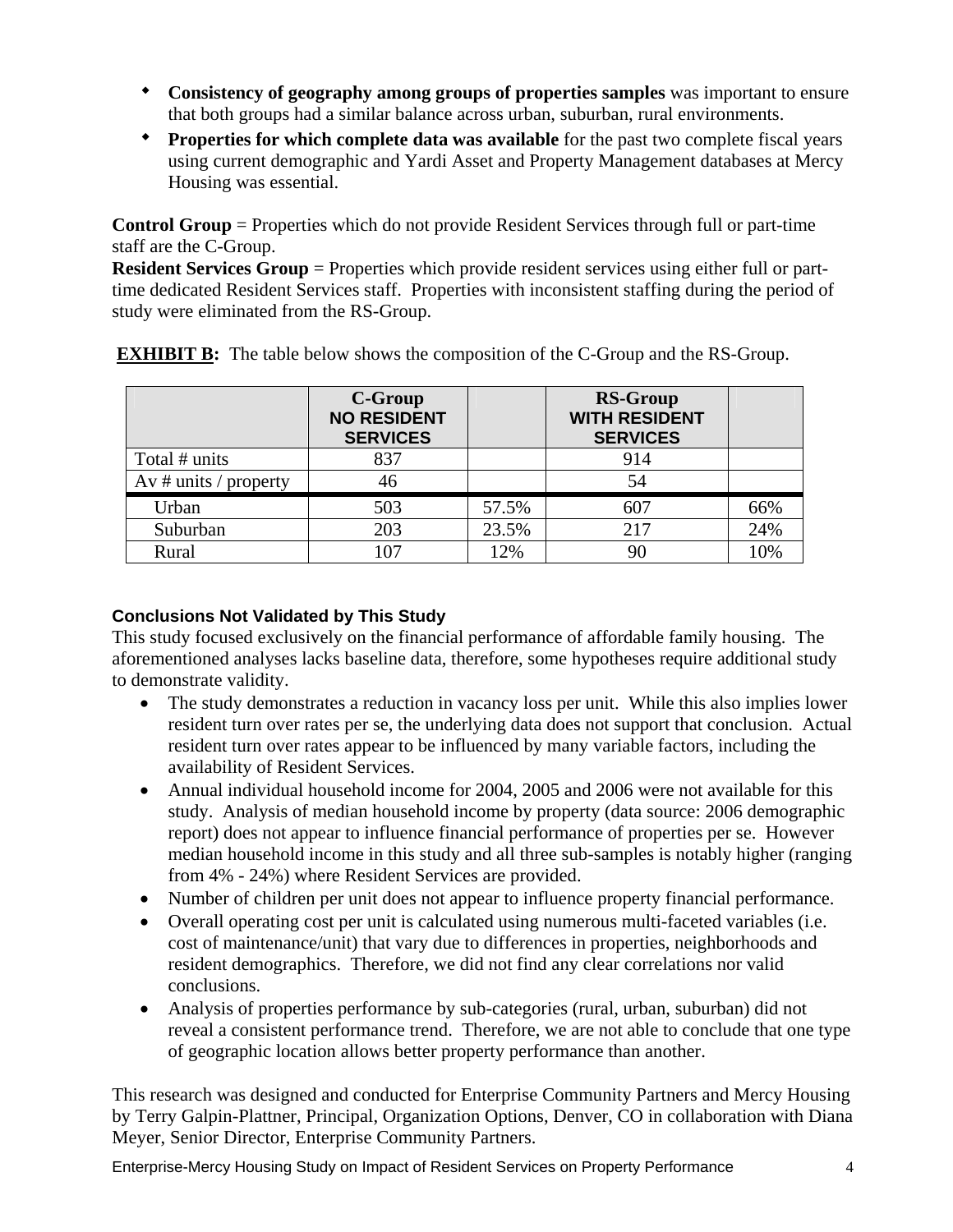- **Consistency of geography among groups of properties samples** was important to ensure that both groups had a similar balance across urban, suburban, rural environments.
- **Properties for which complete data was available** for the past two complete fiscal years using current demographic and Yardi Asset and Property Management databases at Mercy Housing was essential.

**Control Group** = Properties which do not provide Resident Services through full or part-time staff are the C-Group.

**Resident Services Group** = Properties which provide resident services using either full or parttime dedicated Resident Services staff. Properties with inconsistent staffing during the period of study were eliminated from the RS-Group.

|                       | C-Group<br><b>NO RESIDENT</b><br><b>SERVICES</b> |       | <b>RS-Group</b><br><b>WITH RESIDENT</b><br><b>SERVICES</b> |     |
|-----------------------|--------------------------------------------------|-------|------------------------------------------------------------|-----|
| Total # units         | 837                                              |       | 914                                                        |     |
| Av # units / property | 46                                               |       | 54                                                         |     |
| Urban                 | 503                                              | 57.5% | 607                                                        | 66% |
| Suburban              | 203                                              | 23.5% | 217                                                        | 24% |
| Rural                 | 107                                              | 12%   | 90                                                         | 10% |

**EXHIBIT B:** The table below shows the composition of the C-Group and the RS-Group.

# **Conclusions Not Validated by This Study**

This study focused exclusively on the financial performance of affordable family housing. The aforementioned analyses lacks baseline data, therefore, some hypotheses require additional study to demonstrate validity.

- The study demonstrates a reduction in vacancy loss per unit. While this also implies lower resident turn over rates per se, the underlying data does not support that conclusion. Actual resident turn over rates appear to be influenced by many variable factors, including the availability of Resident Services.
- Annual individual household income for 2004, 2005 and 2006 were not available for this study. Analysis of median household income by property (data source: 2006 demographic report) does not appear to influence financial performance of properties per se. However median household income in this study and all three sub-samples is notably higher (ranging from 4% - 24%) where Resident Services are provided.
- Number of children per unit does not appear to influence property financial performance.
- Overall operating cost per unit is calculated using numerous multi-faceted variables (i.e. cost of maintenance/unit) that vary due to differences in properties, neighborhoods and resident demographics. Therefore, we did not find any clear correlations nor valid conclusions.
- Analysis of properties performance by sub-categories (rural, urban, suburban) did not reveal a consistent performance trend. Therefore, we are not able to conclude that one type of geographic location allows better property performance than another.

This research was designed and conducted for Enterprise Community Partners and Mercy Housing by Terry Galpin-Plattner, Principal, Organization Options, Denver, CO in collaboration with Diana Meyer, Senior Director, Enterprise Community Partners.

Enterprise-Mercy Housing Study on Impact of Resident Services on Property Performance 4